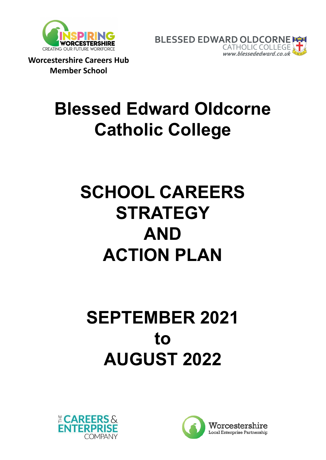

BLESSED EDWARD OLDCORNE **CATHOLIC COLLEGE T** www.blessededward.co.uk

**Worcestershire Careers Hub Member School**

## **Blessed Edward Oldcorne Catholic College**

## **SCHOOL CAREERS STRATEGY AND ACTION PLAN**

## **SEPTEMBER 2021 to AUGUST 2022**



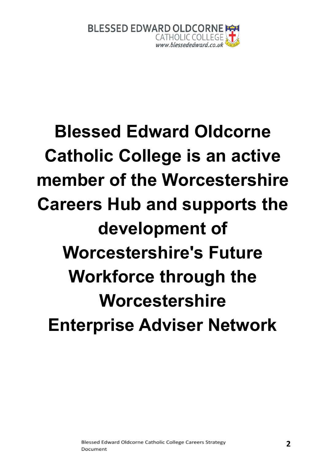

# **Blessed Edward Oldcorne Catholic College is an active member of the Worcestershire Careers Hub and supports the development of Worcestershire's Future Workforce through the Worcestershire Enterprise Adviser Network**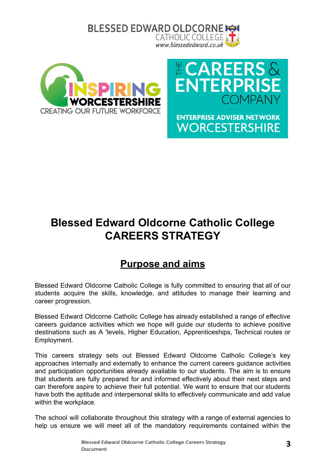



## **CAREERS & ENTERPRISE** COMPANN **ENTERPRISE ADVISER NETWORK WORCESTERSHIRE**

### **Blessed Edward Oldcorne Catholic College CAREERS STRATEGY**

### **Purpose and aims**

Blessed Edward Oldcorne Catholic College is fully committed to ensuring that all of our students acquire the skills, knowledge, and attitudes to manage their learning and career progression.

Blessed Edward Oldcorne Catholic College has already established a range of effective careers guidance activities which we hope will guide our students to achieve positive destinations such as A 'levels, Higher Education, Apprenticeships, Technical routes or Employment.

This careers strategy sets out Blessed Edward Oldcorne Catholic College's key approaches internally and externally to enhance the current careers guidance activities and participation opportunities already available to our students. The aim is to ensure that students are fully prepared for and informed effectively about their next steps and can therefore aspire to achieve their full potential. We want to ensure that our students have both the aptitude and interpersonal skills to effectively communicate and add value within the workplace.

The school will collaborate throughout this strategy with a range of external agencies to help us ensure we will meet all of the mandatory requirements contained within the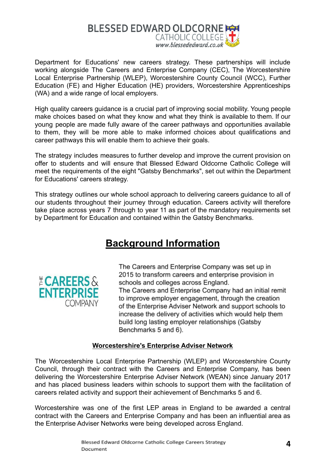

Department for Educations' new careers strategy. These partnerships will include working alongside The Careers and Enterprise Company (CEC), The Worcestershire Local Enterprise Partnership (WLEP), Worcestershire County Council (WCC), Further Education (FE) and Higher Education (HE) providers, Worcestershire Apprenticeships (WA) and a wide range of local employers.

High quality careers guidance is a crucial part of improving social mobility. Young people make choices based on what they know and what they think is available to them. If our young people are made fully aware of the career pathways and opportunities available to them, they will be more able to make informed choices about qualifications and career pathways this will enable them to achieve their goals.

The strategy includes measures to further develop and improve the current provision on offer to students and will ensure that Blessed Edward Oldcorne Catholic College will meet the requirements of the eight "Gatsby Benchmarks", set out within the Department for Educations' careers strategy.

This strategy outlines our whole school approach to delivering careers guidance to all of our students throughout their journey through education. Careers activity will therefore take place across years 7 through to year 11 as part of the mandatory requirements set by Department for Education and contained within the Gatsby Benchmarks.

### **Background Information**



The Careers and Enterprise Company was set up in 2015 to transform careers and enterprise provision in schools and colleges across England. The Careers and Enterprise Company had an initial remit to improve employer engagement, through the creation of the Enterprise Adviser Network and support schools to increase the delivery of activities which would help them build long lasting employer relationships (Gatsby

#### **Worcestershire's Enterprise Adviser Network**

Benchmarks 5 and 6).

The Worcestershire Local Enterprise Partnership (WLEP) and Worcestershire County Council, through their contract with the Careers and Enterprise Company, has been delivering the Worcestershire Enterprise Adviser Network (WEAN) since January 2017 and has placed business leaders within schools to support them with the facilitation of careers related activity and support their achievement of Benchmarks 5 and 6.

Worcestershire was one of the first LEP areas in England to be awarded a central contract with the Careers and Enterprise Company and has been an influential area as the Enterprise Adviser Networks were being developed across England.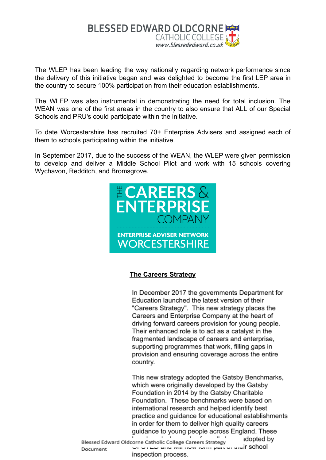

The WLEP has been leading the way nationally regarding network performance since the delivery of this initiative began and was delighted to become the first LEP area in the country to secure 100% participation from their education establishments.

The WLEP was also instrumental in demonstrating the need for total inclusion. The WEAN was one of the first areas in the country to also ensure that ALL of our Special Schools and PRU's could participate within the initiative.

To date Worcestershire has recruited 70+ Enterprise Advisers and assigned each of them to schools participating within the initiative.

In September 2017, due to the success of the WEAN, the WLEP were given permission to develop and deliver a Middle School Pilot and work with 15 schools covering Wychavon, Redditch, and Bromsgrove.



#### **The Careers Strategy**

In December 2017 the governments Department for Education launched the latest version of their "Careers Strategy". This new strategy places the Careers and Enterprise Company at the heart of driving forward careers provision for young people. Their enhanced role is to act as a catalyst in the fragmented landscape of careers and enterprise, supporting programmes that work, filling gaps in provision and ensuring coverage across the entire country.

This new strategy adopted the Gatsby Benchmarks, which were originally developed by the Gatsby Foundation in 2014 by the Gatsby Charitable Foundation. These benchmarks were based on international research and helped identify best practice and guidance for educational establishments in order for them to deliver high quality careers guidance to young people across England. These and an anti-color contract and an annual trade and

adopted by Blessed Edward Oldcorne Catholic College Careers Strategy Or OTED and will now form part of undir School Document inspection process.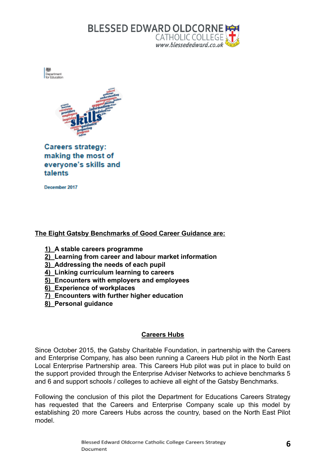



**Careers strategy:** making the most of everyone's skills and talents

December 2017

體<br>Department<br>for Education

**The Eight Gatsby Benchmarks of Good Career Guidance are:**

- **1) A stable careers programme**
- **2) Learning from career and labour market information**
- **3) Addressing the needs of each pupil**
- **4) Linking curriculum learning to careers**
- **5) Encounters with employers and employees**
- **6) Experience of workplaces**
- **7) Encounters with further higher education**
- **8) Personal guidance**

#### **Careers Hubs**

Since October 2015, the Gatsby Charitable Foundation, in partnership with the Careers and Enterprise Company, has also been running a Careers Hub pilot in the North East Local Enterprise Partnership area. This Careers Hub pilot was put in place to build on the support provided through the Enterprise Adviser Networks to achieve benchmarks 5 and 6 and support schools / colleges to achieve all eight of the Gatsby Benchmarks.

Following the conclusion of this pilot the Department for Educations Careers Strategy has requested that the Careers and Enterprise Company scale up this model by establishing 20 more Careers Hubs across the country, based on the North East Pilot model.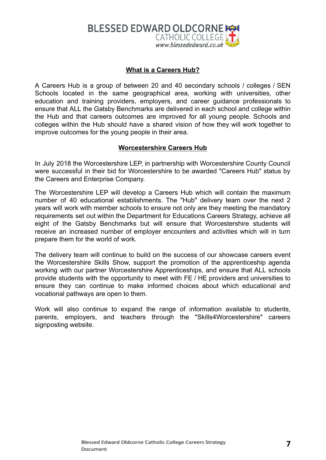

#### **What is a Careers Hub?**

A Careers Hub is a group of between 20 and 40 secondary schools / colleges / SEN Schools located in the same geographical area, working with universities, other education and training providers, employers, and career guidance professionals to ensure that ALL the Gatsby Benchmarks are delivered in each school and college within the Hub and that careers outcomes are improved for all young people. Schools and colleges within the Hub should have a shared vision of how they will work together to improve outcomes for the young people in their area.

#### **Worcestershire Careers Hub**

In July 2018 the Worcestershire LEP, in partnership with Worcestershire County Council were successful in their bid for Worcestershire to be awarded "Careers Hub" status by the Careers and Enterprise Company.

The Worcestershire LEP will develop a Careers Hub which will contain the maximum number of 40 educational establishments. The "Hub" delivery team over the next 2 years will work with member schools to ensure not only are they meeting the mandatory requirements set out within the Department for Educations Careers Strategy, achieve all eight of the Gatsby Benchmarks but will ensure that Worcestershire students will receive an increased number of employer encounters and activities which will in turn prepare them for the world of work.

The delivery team will continue to build on the success of our showcase careers event the Worcestershire Skills Show, support the promotion of the apprenticeship agenda working with our partner Worcestershire Apprenticeships, and ensure that ALL schools provide students with the opportunity to meet with FE / HE providers and universities to ensure they can continue to make informed choices about which educational and vocational pathways are open to them.

Work will also continue to expand the range of information available to students, parents, employers, and teachers through the "Skills4Worcestershire" careers signposting website.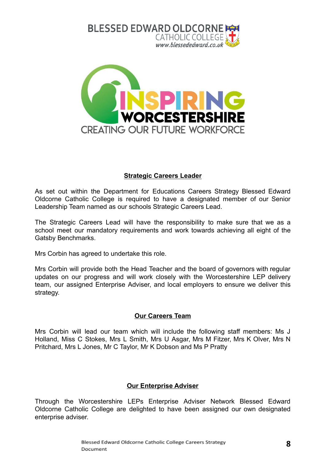



#### **Strategic Careers Leader**

As set out within the Department for Educations Careers Strategy Blessed Edward Oldcorne Catholic College is required to have a designated member of our Senior Leadership Team named as our schools Strategic Careers Lead.

The Strategic Careers Lead will have the responsibility to make sure that we as a school meet our mandatory requirements and work towards achieving all eight of the Gatsby Benchmarks.

Mrs Corbin has agreed to undertake this role.

Mrs Corbin will provide both the Head Teacher and the board of governors with regular updates on our progress and will work closely with the Worcestershire LEP delivery team, our assigned Enterprise Adviser, and local employers to ensure we deliver this strategy.

#### **Our Careers Team**

Mrs Corbin will lead our team which will include the following staff members: Ms J Holland, Miss C Stokes, Mrs L Smith, Mrs U Asgar, Mrs M Fitzer, Mrs K Olver, Mrs N Pritchard, Mrs L Jones, Mr C Taylor, Mr K Dobson and Ms P Pratty

#### **Our Enterprise Adviser**

Through the Worcestershire LEPs Enterprise Adviser Network Blessed Edward Oldcorne Catholic College are delighted to have been assigned our own designated enterprise adviser.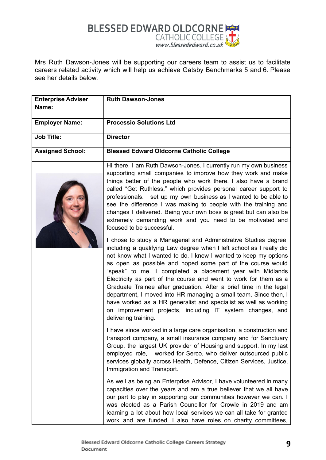

Mrs Ruth Dawson-Jones will be supporting our careers team to assist us to facilitate careers related activity which will help us achieve Gatsby Benchmarks 5 and 6. Please see her details below.

| <b>Enterprise Adviser</b><br>Name: | <b>Ruth Dawson-Jones</b>                                                                                                                                                                                                                                                                                                                                                                                                                                                                                                                                                                                                                                                                                        |
|------------------------------------|-----------------------------------------------------------------------------------------------------------------------------------------------------------------------------------------------------------------------------------------------------------------------------------------------------------------------------------------------------------------------------------------------------------------------------------------------------------------------------------------------------------------------------------------------------------------------------------------------------------------------------------------------------------------------------------------------------------------|
| <b>Employer Name:</b>              | <b>Processio Solutions Ltd</b>                                                                                                                                                                                                                                                                                                                                                                                                                                                                                                                                                                                                                                                                                  |
| <b>Job Title:</b>                  | <b>Director</b>                                                                                                                                                                                                                                                                                                                                                                                                                                                                                                                                                                                                                                                                                                 |
| <b>Assigned School:</b>            | <b>Blessed Edward Oldcorne Catholic College</b>                                                                                                                                                                                                                                                                                                                                                                                                                                                                                                                                                                                                                                                                 |
|                                    | Hi there, I am Ruth Dawson-Jones. I currently run my own business<br>supporting small companies to improve how they work and make<br>things better of the people who work there. I also have a brand<br>called "Get Ruthless," which provides personal career support to<br>professionals. I set up my own business as I wanted to be able to<br>see the difference I was making to people with the training and<br>changes I delivered. Being your own boss is great but can also be<br>extremely demanding work and you need to be motivated and<br>focused to be successful.                                                                                                                                 |
|                                    | I chose to study a Managerial and Administrative Studies degree,<br>including a qualifying Law degree when I left school as I really did<br>not know what I wanted to do. I knew I wanted to keep my options<br>as open as possible and hoped some part of the course would<br>"speak" to me. I completed a placement year with Midlands<br>Electricity as part of the course and went to work for them as a<br>Graduate Trainee after graduation. After a brief time in the legal<br>department, I moved into HR managing a small team. Since then, I<br>have worked as a HR generalist and specialist as well as working<br>on improvement projects, including IT system changes, and<br>delivering training. |
|                                    | I have since worked in a large care organisation, a construction and<br>transport company, a small insurance company and for Sanctuary<br>Group, the largest UK provider of Housing and support. In my last<br>employed role, I worked for Serco, who deliver outsourced public<br>services globally across Health, Defence, Citizen Services, Justice,<br>Immigration and Transport.                                                                                                                                                                                                                                                                                                                           |
|                                    | As well as being an Enterprise Advisor, I have volunteered in many<br>capacities over the years and am a true believer that we all have<br>our part to play in supporting our communities however we can. I<br>was elected as a Parish Councillor for Crowle in 2019 and am<br>learning a lot about how local services we can all take for granted<br>work and are funded. I also have roles on charity committees,                                                                                                                                                                                                                                                                                             |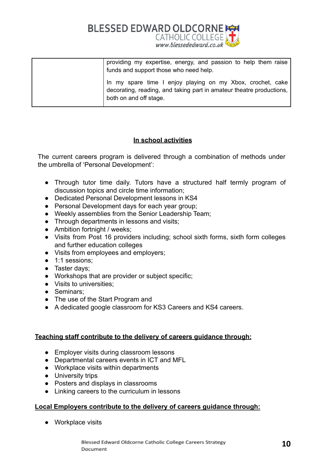**BLESSED EDWARD OLDCORNE REA** CATHOLIC COLLEGE www.blessededward.co.uk

| providing my expertise, energy, and passion to help them raise                                                                                               |
|--------------------------------------------------------------------------------------------------------------------------------------------------------------|
| funds and support those who need help.                                                                                                                       |
| In my spare time I enjoy playing on my Xbox, crochet, cake<br>decorating, reading, and taking part in amateur theatre productions,<br>both on and off stage. |

#### **In school activities**

The current careers program is delivered through a combination of methods under the umbrella of 'Personal Development':

- Through tutor time daily. Tutors have a structured half termly program of discussion topics and circle time information;
- Dedicated Personal Development lessons in KS4
- Personal Development days for each year group;
- Weekly assemblies from the Senior Leadership Team;
- Through departments in lessons and visits;
- Ambition fortnight / weeks;
- Visits from Post 16 providers including; school sixth forms, sixth form colleges and further education colleges
- Visits from employees and employers;
- 1:1 sessions;
- Taster days;
- Workshops that are provider or subject specific;
- Visits to universities;
- Seminars:
- The use of the Start Program and
- A dedicated google classroom for KS3 Careers and KS4 careers.

#### **Teaching staff contribute to the delivery of careers guidance through:**

- Employer visits during classroom lessons
- Departmental careers events in ICT and MFL
- Workplace visits within departments
- University trips
- Posters and displays in classrooms
- Linking careers to the curriculum in lessons

#### **Local Employers contribute to the delivery of careers guidance through:**

● Workplace visits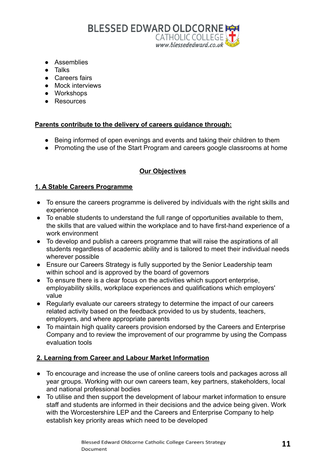

- Assemblies
- Talks
- Careers fairs
- Mock interviews
- Workshops
- Resources

#### **Parents contribute to the delivery of careers guidance through:**

- Being informed of open evenings and events and taking their children to them
- Promoting the use of the Start Program and careers google classrooms at home

#### **Our Objectives**

#### **1. A Stable Careers Programme**

- To ensure the careers programme is delivered by individuals with the right skills and experience
- To enable students to understand the full range of opportunities available to them, the skills that are valued within the workplace and to have first-hand experience of a work environment
- To develop and publish a careers programme that will raise the aspirations of all students regardless of academic ability and is tailored to meet their individual needs wherever possible
- Ensure our Careers Strategy is fully supported by the Senior Leadership team within school and is approved by the board of governors
- To ensure there is a clear focus on the activities which support enterprise, employability skills, workplace experiences and qualifications which employers' value
- Regularly evaluate our careers strategy to determine the impact of our careers related activity based on the feedback provided to us by students, teachers, employers, and where appropriate parents
- To maintain high quality careers provision endorsed by the Careers and Enterprise Company and to review the improvement of our programme by using the Compass evaluation tools

#### **2. Learning from Career and Labour Market Information**

- To encourage and increase the use of online careers tools and packages across all year groups. Working with our own careers team, key partners, stakeholders, local and national professional bodies
- To utilise and then support the development of labour market information to ensure staff and students are informed in their decisions and the advice being given. Work with the Worcestershire LEP and the Careers and Enterprise Company to help establish key priority areas which need to be developed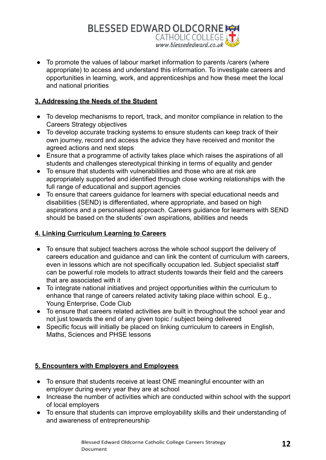BLESSED EDWARD OLDCORNE CATHOLIC COLLEGE

● To promote the values of labour market information to parents /carers (where appropriate) to access and understand this information. To investigate careers and opportunities in learning, work, and apprenticeships and how these meet the local and national priorities

#### **3. Addressing the Needs of the Student**

- To develop mechanisms to report, track, and monitor compliance in relation to the Careers Strategy objectives
- To develop accurate tracking systems to ensure students can keep track of their own journey, record and access the advice they have received and monitor the agreed actions and next steps
- Ensure that a programme of activity takes place which raises the aspirations of all students and challenges stereotypical thinking in terms of equality and gender
- To ensure that students with vulnerabilities and those who are at risk are appropriately supported and identified through close working relationships with the full range of educational and support agencies
- To ensure that careers guidance for learners with special educational needs and disabilities (SEND) is differentiated, where appropriate, and based on high aspirations and a personalised approach. Careers guidance for learners with SEND should be based on the students' own aspirations, abilities and needs

#### **4. Linking Curriculum Learning to Careers**

- To ensure that subject teachers across the whole school support the delivery of careers education and guidance and can link the content of curriculum with careers, even in lessons which are not specifically occupation led. Subject specialist staff can be powerful role models to attract students towards their field and the careers that are associated with it
- To integrate national initiatives and project opportunities within the curriculum to enhance that range of careers related activity taking place within school. E.g., Young Enterprise, Code Club
- To ensure that careers related activities are built in throughout the school year and not just towards the end of any given topic / subject being delivered
- Specific focus will initially be placed on linking curriculum to careers in English, Maths, Sciences and PHSE lessons

#### **5. Encounters with Employers and Employees**

- To ensure that students receive at least ONE meaningful encounter with an employer during every year they are at school
- Increase the number of activities which are conducted within school with the support of local employers
- To ensure that students can improve employability skills and their understanding of and awareness of entrepreneurship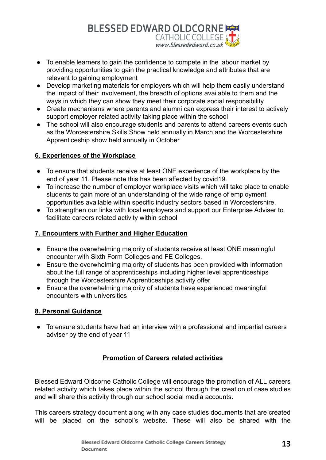**BLESSED EDWARD OLDCORNE** CATHOLIC COLLEGE

- To enable learners to gain the confidence to compete in the labour market by providing opportunities to gain the practical knowledge and attributes that are relevant to gaining employment
- Develop marketing materials for employers which will help them easily understand the impact of their involvement, the breadth of options available to them and the ways in which they can show they meet their corporate social responsibility
- Create mechanisms where parents and alumni can express their interest to actively support employer related activity taking place within the school
- The school will also encourage students and parents to attend careers events such as the Worcestershire Skills Show held annually in March and the Worcestershire Apprenticeship show held annually in October

#### **6. Experiences of the Workplace**

- To ensure that students receive at least ONE experience of the workplace by the end of year 11. Please note this has been affected by covid19.
- To increase the number of employer workplace visits which will take place to enable students to gain more of an understanding of the wide range of employment opportunities available within specific industry sectors based in Worcestershire.
- To strengthen our links with local employers and support our Enterprise Adviser to facilitate careers related activity within school

#### **7. Encounters with Further and Higher Education**

- Ensure the overwhelming majority of students receive at least ONE meaningful encounter with Sixth Form Colleges and FE Colleges.
- Ensure the overwhelming majority of students has been provided with information about the full range of apprenticeships including higher level apprenticeships through the Worcestershire Apprenticeships activity offer
- Ensure the overwhelming majority of students have experienced meaningful encounters with universities

#### **8. Personal Guidance**

● To ensure students have had an interview with a professional and impartial careers adviser by the end of year 11

#### **Promotion of Careers related activities**

Blessed Edward Oldcorne Catholic College will encourage the promotion of ALL careers related activity which takes place within the school through the creation of case studies and will share this activity through our school social media accounts.

This careers strategy document along with any case studies documents that are created will be placed on the school's website. These will also be shared with the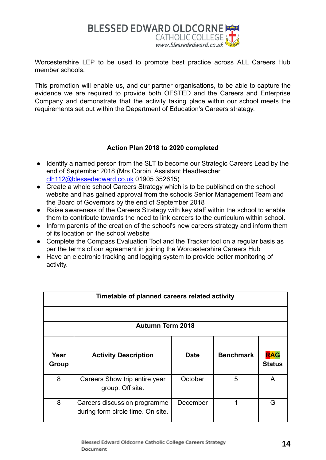

Worcestershire LEP to be used to promote best practice across ALL Careers Hub member schools.

This promotion will enable us, and our partner organisations, to be able to capture the evidence we are required to provide both OFSTED and the Careers and Enterprise Company and demonstrate that the activity taking place within our school meets the requirements set out within the Department of Education's Careers strategy.

#### **Action Plan 2018 to 2020 completed**

- Identify a named person from the SLT to become our Strategic Careers Lead by the end of September 2018 (Mrs Corbin, Assistant Headteacher [clh112@blessededward.co.uk](mailto:clh112@blessededward.co.uk) 01905 352615)
- Create a whole school Careers Strategy which is to be published on the school website and has gained approval from the schools Senior Management Team and the Board of Governors by the end of September 2018
- Raise awareness of the Careers Strategy with key staff within the school to enable them to contribute towards the need to link careers to the curriculum within school.
- Inform parents of the creation of the school's new careers strategy and inform them of its location on the school website
- Complete the Compass Evaluation Tool and the Tracker tool on a regular basis as per the terms of our agreement in joining the Worcestershire Careers Hub
- Have an electronic tracking and logging system to provide better monitoring of activity.

| Timetable of planned careers related activity |                                                                   |             |                  |                             |
|-----------------------------------------------|-------------------------------------------------------------------|-------------|------------------|-----------------------------|
|                                               |                                                                   |             |                  |                             |
|                                               | <b>Autumn Term 2018</b>                                           |             |                  |                             |
|                                               |                                                                   |             |                  |                             |
| Year<br>Group                                 | <b>Activity Description</b>                                       | <b>Date</b> | <b>Benchmark</b> | <b>RAG</b><br><b>Status</b> |
| 8                                             | Careers Show trip entire year<br>group. Off site.                 | October     | 5                | A                           |
| 8                                             | Careers discussion programme<br>during form circle time. On site. | December    |                  | G                           |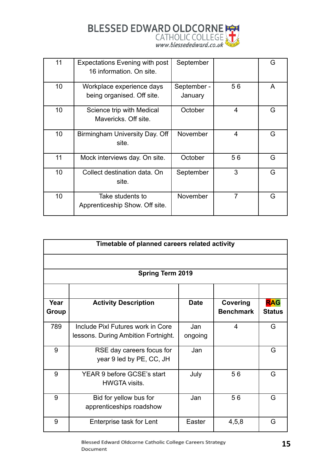**BLESSED EDWARD OLDCORNE** 

| 11              | <b>Expectations Evening with post</b><br>16 information. On site. | September              |                | G |
|-----------------|-------------------------------------------------------------------|------------------------|----------------|---|
| 10 <sup>°</sup> | Workplace experience days<br>being organised. Off site.           | September -<br>January | 56             | A |
| 10              | Science trip with Medical<br>Mavericks, Off site.                 | October                | 4              | G |
| 10 <sup>°</sup> | Birmingham University Day. Off<br>site.                           | November               | 4              | G |
| 11              | Mock interviews day. On site.                                     | October                | 56             | G |
| 10 <sup>°</sup> | Collect destination data, On<br>site.                             | September              | 3              | G |
| 10              | Take students to<br>Apprenticeship Show. Off site.                | November               | $\overline{7}$ | G |

|       | Timetable of planned careers related activity |             |                  |               |
|-------|-----------------------------------------------|-------------|------------------|---------------|
|       |                                               |             |                  |               |
|       | <b>Spring Term 2019</b>                       |             |                  |               |
|       |                                               |             |                  |               |
| Year  | <b>Activity Description</b>                   | <b>Date</b> | Covering         | <b>RAG</b>    |
| Group |                                               |             | <b>Benchmark</b> | <b>Status</b> |
| 789   | Include Pixl Futures work in Core             | Jan         | $\overline{4}$   | G             |
|       | lessons. During Ambition Fortnight.           | ongoing     |                  |               |
| 9     | RSE day careers focus for                     | Jan         |                  | G             |
|       | year 9 led by PE, CC, JH                      |             |                  |               |
| 9     | YEAR 9 before GCSE's start                    | July        | 56               | G             |
|       | <b>HWGTA visits.</b>                          |             |                  |               |
| 9     | Bid for yellow bus for                        | Jan         | 56               | G             |
|       | apprenticeships roadshow                      |             |                  |               |
| 9     | Enterprise task for Lent                      | Easter      | 4,5,8            | G             |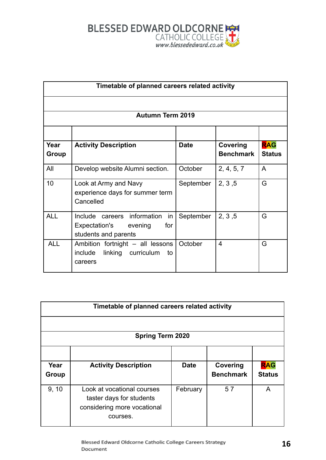

|               | Timetable of planned careers related activity                                             |             |                              |                             |
|---------------|-------------------------------------------------------------------------------------------|-------------|------------------------------|-----------------------------|
|               |                                                                                           |             |                              |                             |
|               | <b>Autumn Term 2019</b>                                                                   |             |                              |                             |
|               |                                                                                           |             |                              |                             |
| Year<br>Group | <b>Activity Description</b>                                                               | <b>Date</b> | Covering<br><b>Benchmark</b> | <b>RAG</b><br><b>Status</b> |
| All           | Develop website Alumni section.                                                           | October     | 2, 4, 5, 7                   | A                           |
| 10            | Look at Army and Navy<br>experience days for summer term<br>Cancelled                     | September   | 2, 3, 5                      | G                           |
| <b>ALL</b>    | Include careers information<br>in<br>Expectation's evening<br>for<br>students and parents | September   | 2, 3, 5                      | G                           |
| <b>ALL</b>    | Ambition fortnight – all lessons<br>linking curriculum<br>include<br>to<br>careers        | October     | 4                            | G                           |

| Timetable of planned careers related activity |                                                                                                   |             |                              |                             |
|-----------------------------------------------|---------------------------------------------------------------------------------------------------|-------------|------------------------------|-----------------------------|
|                                               |                                                                                                   |             |                              |                             |
|                                               | <b>Spring Term 2020</b>                                                                           |             |                              |                             |
|                                               |                                                                                                   |             |                              |                             |
| Year<br><b>Group</b>                          | <b>Activity Description</b>                                                                       | <b>Date</b> | Covering<br><b>Benchmark</b> | <b>RAG</b><br><b>Status</b> |
| 9, 10                                         | Look at vocational courses<br>taster days for students<br>considering more vocational<br>courses. | February    | 57                           | A                           |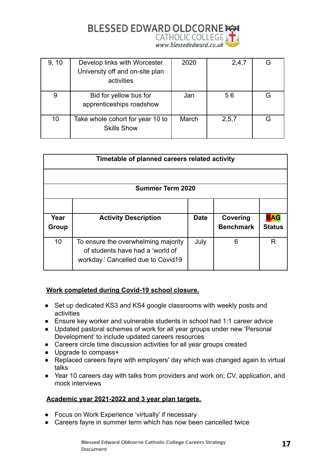

| 9, 10 | Develop links with Worcester<br>University off and on-site plan<br>activities | 2020  | 2,4,7 | G |
|-------|-------------------------------------------------------------------------------|-------|-------|---|
| 9     | Bid for yellow bus for<br>apprenticeships roadshow                            | Jan   | 56    | G |
| 10    | Take whole cohort for year 10 to<br><b>Skills Show</b>                        | March | 2,5,7 | G |

|       | Timetable of planned careers related activity                                                                 |             |                  |               |
|-------|---------------------------------------------------------------------------------------------------------------|-------------|------------------|---------------|
|       |                                                                                                               |             |                  |               |
|       | <b>Summer Term 2020</b>                                                                                       |             |                  |               |
|       |                                                                                                               |             |                  |               |
| Year  | <b>Activity Description</b>                                                                                   | <b>Date</b> | Covering         | <b>RAG</b>    |
| Group |                                                                                                               |             | <b>Benchmark</b> | <b>Status</b> |
| 10    | To ensure the overwhelming majority<br>of students have had a 'world of<br>workday.' Cancelled due to Covid19 | July        | 6                | R             |

#### **Work completed during Covid-19 school closure.**

- Set up dedicated KS3 and KS4 google classrooms with weekly posts and activities
- Ensure key worker and vulnerable students in school had 1:1 career advice
- Updated pastoral schemes of work for all year groups under new 'Personal Development' to include updated careers resources
- Careers circle time discussion activities for all year groups created
- Upgrade to compass+
- Replaced careers fayre with employers' day which was changed again to virtual talks
- Year 10 careers day with talks from providers and work on; CV, application, and mock interviews

#### **Academic year 2021-2022 and 3 year plan targets.**

- Focus on Work Experience 'virtually' if necessary
- Careers fayre in summer term which has now been cancelled twice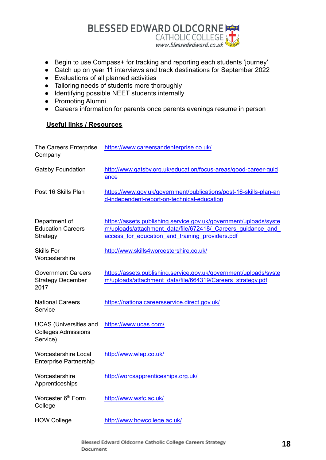BLESSED EDWARD OLDCORNE

- Begin to use Compass+ for tracking and reporting each students 'journey'
- Catch up on year 11 interviews and track destinations for September 2022
- Evaluations of all planned activities
- Tailoring needs of students more thoroughly
- Identifying possible NEET students internally
- Promoting Alumni
- Careers information for parents once parents evenings resume in person

#### **Useful links / Resources**

| The Careers Enterprise<br>Company                                       | https://www.careersandenterprise.co.uk/                                                                                                                                             |
|-------------------------------------------------------------------------|-------------------------------------------------------------------------------------------------------------------------------------------------------------------------------------|
| <b>Gatsby Foundation</b>                                                | http://www.gatsby.org.uk/education/focus-areas/good-career-guid<br>ance                                                                                                             |
| Post 16 Skills Plan                                                     | https://www.gov.uk/government/publications/post-16-skills-plan-an<br>d-independent-report-on-technical-education                                                                    |
| Department of<br><b>Education Careers</b><br>Strategy                   | https://assets.publishing.service.gov.uk/government/uploads/syste<br>m/uploads/attachment data/file/672418/ Careers guidance and<br>access for education and training providers.pdf |
| <b>Skills For</b><br>Worcestershire                                     | http://www.skills4worcestershire.co.uk/                                                                                                                                             |
| <b>Government Careers</b><br><b>Strategy December</b><br>2017           | https://assets.publishing.service.gov.uk/government/uploads/syste<br>m/uploads/attachment_data/file/664319/Careers_strategy.pdf                                                     |
| <b>National Careers</b><br>Service                                      | https://nationalcareersservice.direct.gov.uk/                                                                                                                                       |
| <b>UCAS</b> (Universities and<br><b>Colleges Admissions</b><br>Service) | https://www.ucas.com/                                                                                                                                                               |
| <b>Worcestershire Local</b><br><b>Enterprise Partnership</b>            | http://www.wlep.co.uk/                                                                                                                                                              |
| Worcestershire<br>Apprenticeships                                       | http://worcsapprenticeships.org.uk/                                                                                                                                                 |
| Worcester 6 <sup>th</sup> Form<br>College                               | http://www.wsfc.ac.uk/                                                                                                                                                              |
| <b>HOW College</b>                                                      | http://www.howcollege.ac.uk/                                                                                                                                                        |